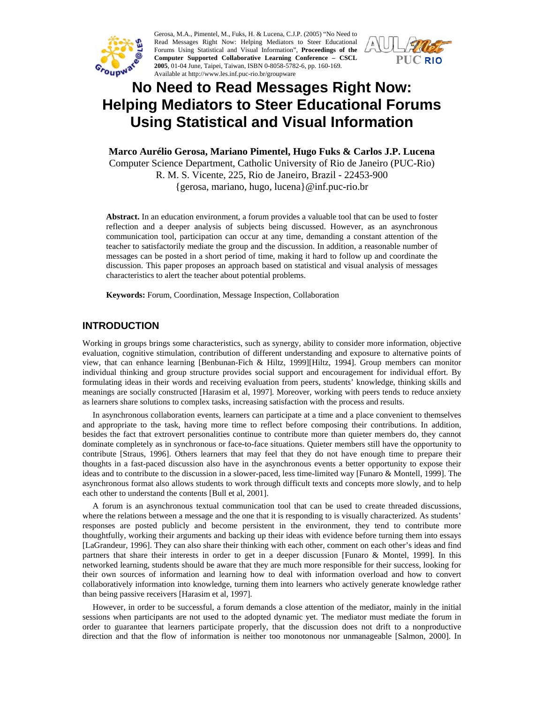

Gerosa, M.A., Pimentel, M., Fuks, H. & Lucena, C.J.P. (2005) "No Need to Read Messages Right Now: Helping Mediators to Steer Educational Forums Using Statistical and Visual Information", **Proceedings of the Computer Supported Collaborative Learning Conference – CSCL 2005**, 01-04 June, Taipei, Taiwan, ISBN 0-8058-5782-6, pp. 160-169. Available at http://www.les.inf.puc-rio.br/groupware



# **No Need to Read Messages Right Now: Helping Mediators to Steer Educational Forums Using Statistical and Visual Information**

**Marco Aurélio Gerosa, Mariano Pimentel, Hugo Fuks & Carlos J.P. Lucena**  Computer Science Department, Catholic University of Rio de Janeiro (PUC-Rio) R. M. S. Vicente, 225, Rio de Janeiro, Brazil - 22453-900 {gerosa, mariano, hugo, lucena}@inf.puc-rio.br

**Abstract.** In an education environment, a forum provides a valuable tool that can be used to foster reflection and a deeper analysis of subjects being discussed. However, as an asynchronous communication tool, participation can occur at any time, demanding a constant attention of the teacher to satisfactorily mediate the group and the discussion. In addition, a reasonable number of messages can be posted in a short period of time, making it hard to follow up and coordinate the discussion. This paper proposes an approach based on statistical and visual analysis of messages characteristics to alert the teacher about potential problems.

**Keywords:** Forum, Coordination, Message Inspection, Collaboration

## **INTRODUCTION**

Working in groups brings some characteristics, such as synergy, ability to consider more information, objective evaluation, cognitive stimulation, contribution of different understanding and exposure to alternative points of view, that can enhance learning [Benbunan-Fich & Hiltz, 1999][Hiltz, 1994]. Group members can monitor individual thinking and group structure provides social support and encouragement for individual effort. By formulating ideas in their words and receiving evaluation from peers, students' knowledge, thinking skills and meanings are socially constructed [Harasim et al, 1997]. Moreover, working with peers tends to reduce anxiety as learners share solutions to complex tasks, increasing satisfaction with the process and results.

In asynchronous collaboration events, learners can participate at a time and a place convenient to themselves and appropriate to the task, having more time to reflect before composing their contributions. In addition, besides the fact that extrovert personalities continue to contribute more than quieter members do, they cannot dominate completely as in synchronous or face-to-face situations. Quieter members still have the opportunity to contribute [Straus, 1996]. Others learners that may feel that they do not have enough time to prepare their thoughts in a fast-paced discussion also have in the asynchronous events a better opportunity to expose their ideas and to contribute to the discussion in a slower-paced, less time-limited way [Funaro & Montell, 1999]. The asynchronous format also allows students to work through difficult texts and concepts more slowly, and to help each other to understand the contents [Bull et al, 2001].

A forum is an asynchronous textual communication tool that can be used to create threaded discussions, where the relations between a message and the one that it is responding to is visually characterized. As students' responses are posted publicly and become persistent in the environment, they tend to contribute more thoughtfully, working their arguments and backing up their ideas with evidence before turning them into essays [LaGrandeur, 1996]. They can also share their thinking with each other, comment on each other's ideas and find partners that share their interests in order to get in a deeper discussion [Funaro & Montel, 1999]. In this networked learning, students should be aware that they are much more responsible for their success, looking for their own sources of information and learning how to deal with information overload and how to convert collaboratively information into knowledge, turning them into learners who actively generate knowledge rather than being passive receivers [Harasim et al, 1997].

However, in order to be successful, a forum demands a close attention of the mediator, mainly in the initial sessions when participants are not used to the adopted dynamic yet. The mediator must mediate the forum in order to guarantee that learners participate properly, that the discussion does not drift to a nonproductive direction and that the flow of information is neither too monotonous nor unmanageable [Salmon, 2000]. In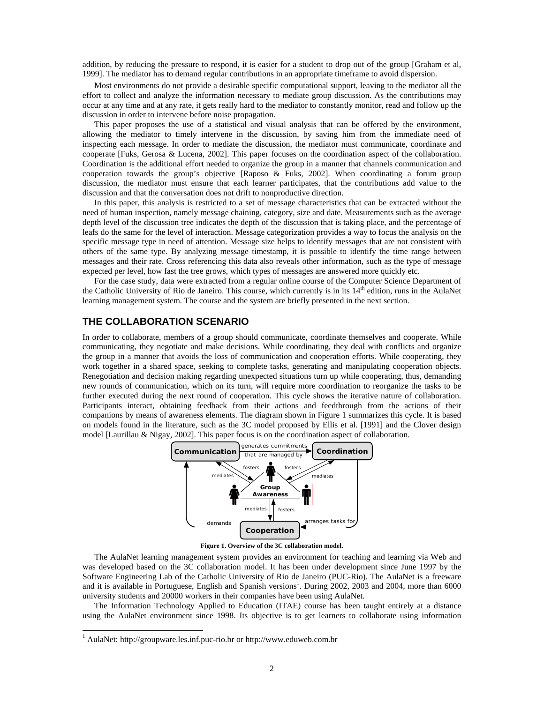addition, by reducing the pressure to respond, it is easier for a student to drop out of the group [Graham et al, 1999]. The mediator has to demand regular contributions in an appropriate timeframe to avoid dispersion.

Most environments do not provide a desirable specific computational support, leaving to the mediator all the effort to collect and analyze the information necessary to mediate group discussion. As the contributions may occur at any time and at any rate, it gets really hard to the mediator to constantly monitor, read and follow up the discussion in order to intervene before noise propagation.

This paper proposes the use of a statistical and visual analysis that can be offered by the environment, allowing the mediator to timely intervene in the discussion, by saving him from the immediate need of inspecting each message. In order to mediate the discussion, the mediator must communicate, coordinate and cooperate [Fuks, Gerosa & Lucena, 2002]. This paper focuses on the coordination aspect of the collaboration. Coordination is the additional effort needed to organize the group in a manner that channels communication and cooperation towards the group's objective [Raposo  $\&$  Fuks, 2002]. When coordinating a forum group discussion, the mediator must ensure that each learner participates, that the contributions add value to the discussion and that the conversation does not drift to nonproductive direction.

In this paper, this analysis is restricted to a set of message characteristics that can be extracted without the need of human inspection, namely message chaining, category, size and date. Measurements such as the average depth level of the discussion tree indicates the depth of the discussion that is taking place, and the percentage of leafs do the same for the level of interaction. Message categorization provides a way to focus the analysis on the specific message type in need of attention. Message size helps to identify messages that are not consistent with others of the same type. By analyzing message timestamp, it is possible to identify the time range between messages and their rate. Cross referencing this data also reveals other information, such as the type of message expected per level, how fast the tree grows, which types of messages are answered more quickly etc.

For the case study, data were extracted from a regular online course of the Computer Science Department of the Catholic University of Rio de Janeiro. This course, which currently is in its  $14<sup>th</sup>$  edition, runs in the AulaNet learning management system. The course and the system are briefly presented in the next section.

## **THE COLLABORATION SCENARIO**

In order to collaborate, members of a group should communicate, coordinate themselves and cooperate. While communicating, they negotiate and make decisions. While coordinating, they deal with conflicts and organize the group in a manner that avoids the loss of communication and cooperation efforts. While cooperating, they work together in a shared space, seeking to complete tasks, generating and manipulating cooperation objects. Renegotiation and decision making regarding unexpected situations turn up while cooperating, thus, demanding new rounds of communication, which on its turn, will require more coordination to reorganize the tasks to be further executed during the next round of cooperation. This cycle shows the iterative nature of collaboration. Participants interact, obtaining feedback from their actions and feedthrough from the actions of their companions by means of awareness elements. The diagram shown in Figure 1 summarizes this cycle. It is based on models found in the literature, such as the 3C model proposed by Ellis et al. [1991] and the Clover design model [Laurillau & Nigay, 2002]. This paper focus is on the coordination aspect of collaboration.



**Figure 1. Overview of the 3C collaboration model.** 

The AulaNet learning management system provides an environment for teaching and learning via Web and was developed based on the 3C collaboration model. It has been under development since June 1997 by the Software Engineering Lab of the Catholic University of Rio de Janeiro (PUC-Rio). The AulaNet is a freeware and it is available in Portuguese, English and Spanish versions<sup>1</sup>. During 2002, 2003 and 2004, more than 6000 university students and 20000 workers in their companies have been using AulaNet.

The Information Technology Applied to Education (ITAE) course has been taught entirely at a distance using the AulaNet environment since 1998. Its objective is to get learners to collaborate using information

l

<sup>&</sup>lt;sup>1</sup> AulaNet: http://groupware.les.inf.puc-rio.br or http://www.eduweb.com.br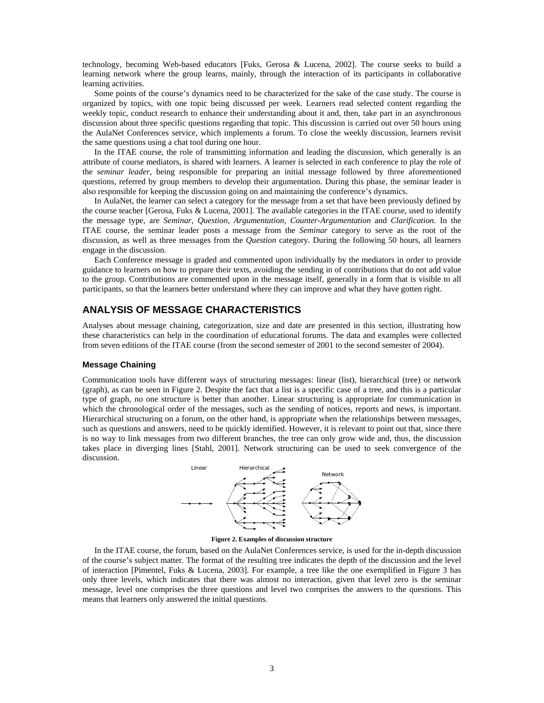technology, becoming Web-based educators [Fuks, Gerosa & Lucena, 2002]. The course seeks to build a learning network where the group learns, mainly, through the interaction of its participants in collaborative learning activities.

Some points of the course's dynamics need to be characterized for the sake of the case study. The course is organized by topics, with one topic being discussed per week. Learners read selected content regarding the weekly topic, conduct research to enhance their understanding about it and, then, take part in an asynchronous discussion about three specific questions regarding that topic. This discussion is carried out over 50 hours using the AulaNet Conferences service, which implements a forum. To close the weekly discussion, learners revisit the same questions using a chat tool during one hour.

In the ITAE course, the role of transmitting information and leading the discussion, which generally is an attribute of course mediators, is shared with learners. A learner is selected in each conference to play the role of the *seminar leader*, being responsible for preparing an initial message followed by three aforementioned questions, referred by group members to develop their argumentation. During this phase, the seminar leader is also responsible for keeping the discussion going on and maintaining the conference's dynamics.

In AulaNet, the learner can select a category for the message from a set that have been previously defined by the course teacher [Gerosa, Fuks & Lucena, 2001]. The available categories in the ITAE course, used to identify the message type, are *Seminar*, *Question*, *Argumentation*, *Counter-Argumentation* and *Clarification*. In the ITAE course, the seminar leader posts a message from the *Seminar* category to serve as the root of the discussion, as well as three messages from the *Question* category. During the following 50 hours, all learners engage in the discussion.

Each Conference message is graded and commented upon individually by the mediators in order to provide guidance to learners on how to prepare their texts, avoiding the sending in of contributions that do not add value to the group. Contributions are commented upon in the message itself, generally in a form that is visible to all participants, so that the learners better understand where they can improve and what they have gotten right.

## **ANALYSIS OF MESSAGE CHARACTERISTICS**

Analyses about message chaining, categorization, size and date are presented in this section, illustrating how these characteristics can help in the coordination of educational forums. The data and examples were collected from seven editions of the ITAE course (from the second semester of 2001 to the second semester of 2004).

#### **Message Chaining**

Communication tools have different ways of structuring messages: linear (list), hierarchical (tree) or network (graph), as can be seen in Figure 2. Despite the fact that a list is a specific case of a tree, and this is a particular type of graph, no one structure is better than another. Linear structuring is appropriate for communication in which the chronological order of the messages, such as the sending of notices, reports and news, is important. Hierarchical structuring on a forum, on the other hand, is appropriate when the relationships between messages, such as questions and answers, need to be quickly identified. However, it is relevant to point out that, since there is no way to link messages from two different branches, the tree can only grow wide and, thus, the discussion takes place in diverging lines [Stahl, 2001]. Network structuring can be used to seek convergence of the discussion.



**Figure 2. Examples of discussion structure** 

In the ITAE course, the forum, based on the AulaNet Conferences service, is used for the in-depth discussion of the course's subject matter. The format of the resulting tree indicates the depth of the discussion and the level of interaction [Pimentel, Fuks & Lucena, 2003]. For example, a tree like the one exemplified in Figure 3 has only three levels, which indicates that there was almost no interaction, given that level zero is the seminar message, level one comprises the three questions and level two comprises the answers to the questions. This means that learners only answered the initial questions.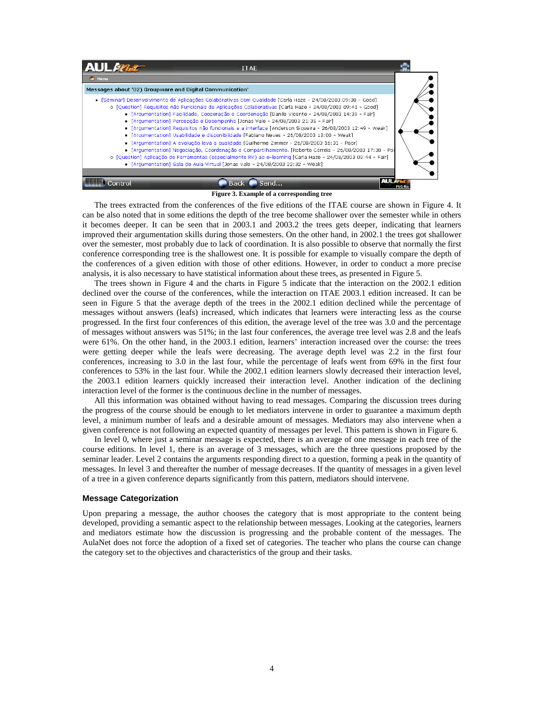

#### **Figure 3. Example of a corresponding tree**

The trees extracted from the conferences of the five editions of the ITAE course are shown in Figure 4. It can be also noted that in some editions the depth of the tree become shallower over the semester while in others it becomes deeper. It can be seen that in 2003.1 and 2003.2 the trees gets deeper, indicating that learners improved their argumentation skills during those semesters. On the other hand, in 2002.1 the trees got shallower over the semester, most probably due to lack of coordination. It is also possible to observe that normally the first conference corresponding tree is the shallowest one. It is possible for example to visually compare the depth of the conferences of a given edition with those of other editions. However, in order to conduct a more precise analysis, it is also necessary to have statistical information about these trees, as presented in Figure 5.

The trees shown in Figure 4 and the charts in Figure 5 indicate that the interaction on the 2002.1 edition declined over the course of the conferences, while the interaction on ITAE 2003.1 edition increased. It can be seen in Figure 5 that the average depth of the trees in the 2002.1 edition declined while the percentage of messages without answers (leafs) increased, which indicates that learners were interacting less as the course progressed. In the first four conferences of this edition, the average level of the tree was 3.0 and the percentage of messages without answers was 51%; in the last four conferences, the average tree level was 2.8 and the leafs were 61%. On the other hand, in the 2003.1 edition, learners' interaction increased over the course: the trees were getting deeper while the leafs were decreasing. The average depth level was 2.2 in the first four conferences, increasing to 3.0 in the last four, while the percentage of leafs went from 69% in the first four conferences to 53% in the last four. While the 2002.1 edition learners slowly decreased their interaction level, the 2003.1 edition learners quickly increased their interaction level. Another indication of the declining interaction level of the former is the continuous decline in the number of messages.

All this information was obtained without having to read messages. Comparing the discussion trees during the progress of the course should be enough to let mediators intervene in order to guarantee a maximum depth level, a minimum number of leafs and a desirable amount of messages. Mediators may also intervene when a given conference is not following an expected quantity of messages per level. This pattern is shown in Figure 6.

In level 0, where just a seminar message is expected, there is an average of one message in each tree of the course editions. In level 1, there is an average of 3 messages, which are the three questions proposed by the seminar leader. Level 2 contains the arguments responding direct to a question, forming a peak in the quantity of messages. In level 3 and thereafter the number of message decreases. If the quantity of messages in a given level of a tree in a given conference departs significantly from this pattern, mediators should intervene.

#### **Message Categorization**

Upon preparing a message, the author chooses the category that is most appropriate to the content being developed, providing a semantic aspect to the relationship between messages. Looking at the categories, learners and mediators estimate how the discussion is progressing and the probable content of the messages. The AulaNet does not force the adoption of a fixed set of categories. The teacher who plans the course can change the category set to the objectives and characteristics of the group and their tasks.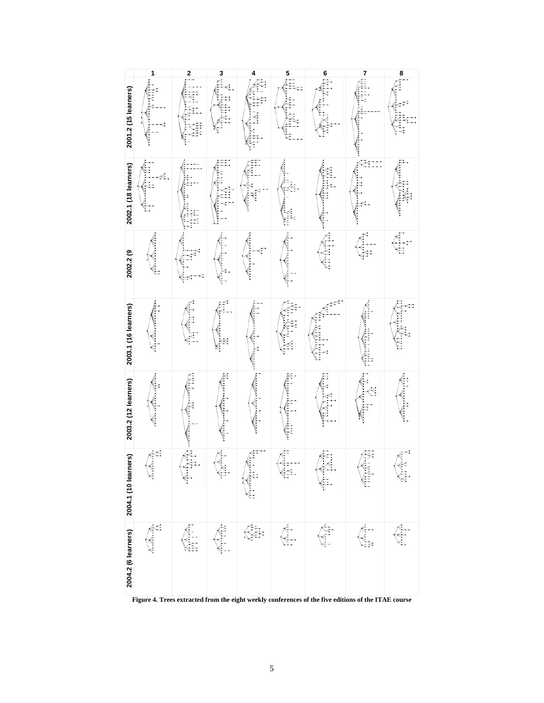|                      | 1            |                                         |                                                                                                                                                                                                                                                                                                                                                                             | 4                                                                                                                                                                                                                              |          | 6                | 7                                                                                                                                                                                                                                                                                                                                                                                                                                                                      |                                                                                                                                                                                                                                                                                                                                                                                       |
|----------------------|--------------|-----------------------------------------|-----------------------------------------------------------------------------------------------------------------------------------------------------------------------------------------------------------------------------------------------------------------------------------------------------------------------------------------------------------------------------|--------------------------------------------------------------------------------------------------------------------------------------------------------------------------------------------------------------------------------|----------|------------------|------------------------------------------------------------------------------------------------------------------------------------------------------------------------------------------------------------------------------------------------------------------------------------------------------------------------------------------------------------------------------------------------------------------------------------------------------------------------|---------------------------------------------------------------------------------------------------------------------------------------------------------------------------------------------------------------------------------------------------------------------------------------------------------------------------------------------------------------------------------------|
| 2001.2 (15 learners) | 信气           | <b>ALCORATE SERVICE</b>                 | • 高橋                                                                                                                                                                                                                                                                                                                                                                        | 香气管                                                                                                                                                                                                                            |          | marina           |                                                                                                                                                                                                                                                                                                                                                                                                                                                                        | $\frac{1}{\sqrt{2}}\sum_{i=1}^{n}\frac{1}{\sqrt{2}}\sum_{i=1}^{n}\frac{1}{\sqrt{2}}\sum_{i=1}^{n}\frac{1}{\sqrt{2}}\sum_{i=1}^{n}\frac{1}{\sqrt{2}}\sum_{i=1}^{n}\frac{1}{\sqrt{2}}\sum_{i=1}^{n}\frac{1}{\sqrt{2}}\sum_{i=1}^{n}\frac{1}{\sqrt{2}}\sum_{i=1}^{n}\frac{1}{\sqrt{2}}\sum_{i=1}^{n}\frac{1}{\sqrt{2}}\sum_{i=1}^{n}\frac{1}{\sqrt{2}}\sum_{i=1}^{n}\frac{1}{\sqrt{2}}\$ |
| 2002.1 (18 learners) | 信信           | 在大学 医第一种                                | France Co                                                                                                                                                                                                                                                                                                                                                                   | 库产                                                                                                                                                                                                                             |          | <b>ASSESSING</b> | $\frac{1}{\sqrt{2}}\left( \frac{1}{\sqrt{2}}\right) \left( \frac{1}{\sqrt{2}}\right) \left( \frac{1}{\sqrt{2}}\right) \left( \frac{1}{\sqrt{2}}\right) \left( \frac{1}{\sqrt{2}}\right) \left( \frac{1}{\sqrt{2}}\right) \left( \frac{1}{\sqrt{2}}\right) \left( \frac{1}{\sqrt{2}}\right) \left( \frac{1}{\sqrt{2}}\right) \left( \frac{1}{\sqrt{2}}\right) \left( \frac{1}{\sqrt{2}}\right) \left( \frac{1}{\sqrt{2}}\right) \left( \frac{1}{\sqrt{2}}\right) \left$ | 广告部                                                                                                                                                                                                                                                                                                                                                                                   |
| 2002.2 (9            | へくく          |                                         | Entre de la Cardinal                                                                                                                                                                                                                                                                                                                                                        | 医大家                                                                                                                                                                                                                            | 全会       |                  |                                                                                                                                                                                                                                                                                                                                                                                                                                                                        | $\sum_{i=1}^{\infty}$                                                                                                                                                                                                                                                                                                                                                                 |
| 2003.1 (16 learners) | $\leftarrow$ | $\mathbb{A}$ (in the $\mathbb{A}$       | <b>We have discrete that the first discrete that the first discrete that the first discrete that the first discrete</b>                                                                                                                                                                                                                                                     | The first complement of the complete of the complete of the complete of the complete of the complete of the complete of the complete of the complete of the complete of the complete of the complete of the complete of the co | TATANTAN | mmmmm            | <b>CONTROLLER</b>                                                                                                                                                                                                                                                                                                                                                                                                                                                      | 医家气气                                                                                                                                                                                                                                                                                                                                                                                  |
| 2003.2 (12 learners) |              | <b>Controller Controller Controller</b> |                                                                                                                                                                                                                                                                                                                                                                             |                                                                                                                                                                                                                                | 不信息      | 信用作              | 医全军                                                                                                                                                                                                                                                                                                                                                                                                                                                                    | E E E                                                                                                                                                                                                                                                                                                                                                                                 |
| 2004.1 (10 learners) | <b>RAMAY</b> | 不存在                                     | TAMP                                                                                                                                                                                                                                                                                                                                                                        | $\mathbb{Z}$ and $\mathbb{Z}$                                                                                                                                                                                                  | 不守       | Ç<br>K<br>€      | 有序条件                                                                                                                                                                                                                                                                                                                                                                                                                                                                   | 今今今                                                                                                                                                                                                                                                                                                                                                                                   |
| 2004.2 (6 learners)  | <b>RANT</b>  | 合作                                      | $\begin{picture}(20,50) \put(0,0){\vector(0,1){10}} \put(15,0){\vector(0,1){10}} \put(15,0){\vector(0,1){10}} \put(15,0){\vector(0,1){10}} \put(15,0){\vector(0,1){10}} \put(15,0){\vector(0,1){10}} \put(15,0){\vector(0,1){10}} \put(15,0){\vector(0,1){10}} \put(15,0){\vector(0,1){10}} \put(15,0){\vector(0,1){10}} \put(15,0){\vector(0,1){10}} \put(15,0){\vector(0$ | Ę                                                                                                                                                                                                                              |          | 不个个              |                                                                                                                                                                                                                                                                                                                                                                                                                                                                        | E V                                                                                                                                                                                                                                                                                                                                                                                   |

**Figure 4. Trees extracted from the eight weekly conferences of the five editions of the ITAE course**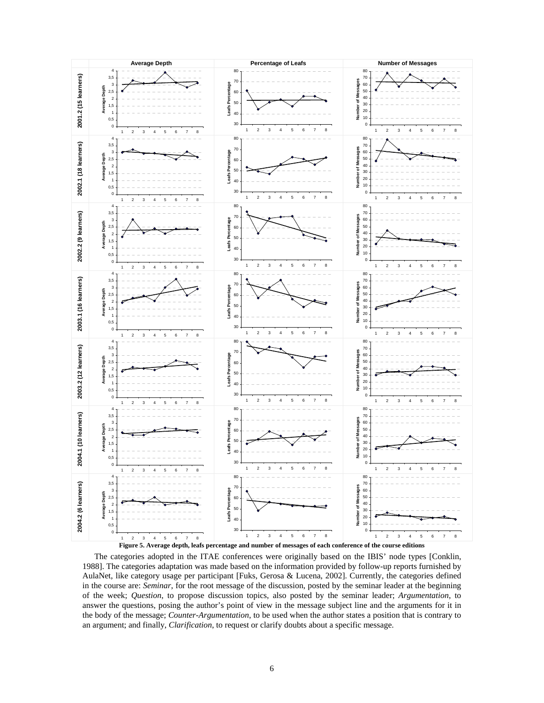

The categories adopted in the ITAE conferences were originally based on the IBIS' node types [Conklin, 1988]. The categories adaptation was made based on the information provided by follow-up reports furnished by AulaNet, like category usage per participant [Fuks, Gerosa & Lucena, 2002]. Currently, the categories defined in the course are: *Seminar*, for the root message of the discussion, posted by the seminar leader at the beginning of the week; *Question*, to propose discussion topics, also posted by the seminar leader; *Argumentation*, to answer the questions, posing the author's point of view in the message subject line and the arguments for it in the body of the message; *Counter-Argumentation*, to be used when the author states a position that is contrary to an argument; and finally, *Clarification*, to request or clarify doubts about a specific message.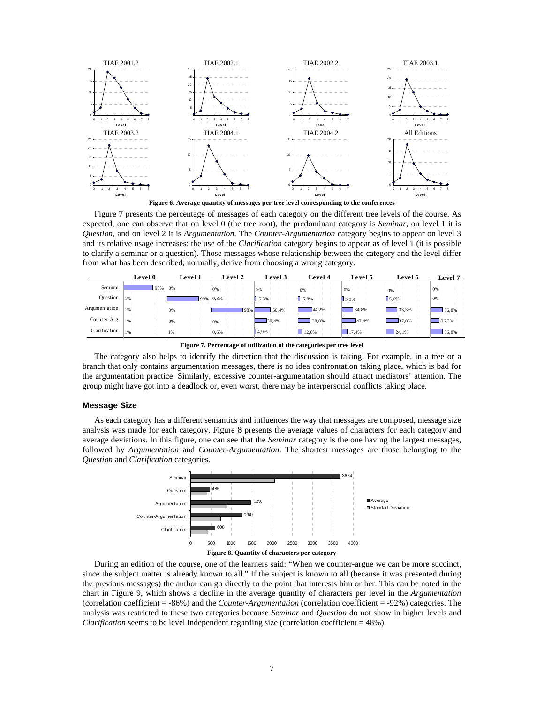

**Figure 6. Average quantity of messages per tree level corresponding to the conferences** 

Figure 7 presents the percentage of messages of each category on the different tree levels of the course. As expected, one can observe that on level 0 (the tree root), the predominant category is *Seminar*, on level 1 it is *Question*, and on level 2 it is *Argumentation*. The *Counter-Argumentation* category begins to appear on level 3 and its relative usage increases; the use of the *Clarification* category begins to appear as of level 1 (it is possible to clarify a seminar or a question). Those messages whose relationship between the category and the level differ from what has been described, normally, derive from choosing a wrong category.

|               | Level 0 |    | Level 1 |  |             | <b>Level 2</b> | Level 3 | Level 4 | Level 5     | Level 6 | Level 7 |
|---------------|---------|----|---------|--|-------------|----------------|---------|---------|-------------|---------|---------|
| Seminar       | 95%     | 0% |         |  |             | 0%             | 0%      | 0%      | 0%          | 0%      | 0%      |
| Question      | 1%      |    |         |  | $99\%$ 0,8% |                | 15.3%   | 5.8%    | $J_{5.3\%}$ | 15.6%   | 0%      |
| Argumentation | 1%      | 0% |         |  |             | 98%            | 50.4%   | 44.2%   | 34.8%       | 33,3%   | 136,8%  |
| Counter-Arg.  | 1%      | 0% |         |  |             | 0%             | 39.4%   | 138,0%  | 42.4%       | 37.0%   | 26.3%   |
| Clarification | 1%      | 1% |         |  |             | 0,6%           | 14,9%   | 12.0%   | 17.4%       | 24,1%   | 36,8%   |

**Figure 7. Percentage of utilization of the categories per tree level** 

The category also helps to identify the direction that the discussion is taking. For example, in a tree or a branch that only contains argumentation messages, there is no idea confrontation taking place, which is bad for the argumentation practice. Similarly, excessive counter-argumentation should attract mediators' attention. The group might have got into a deadlock or, even worst, there may be interpersonal conflicts taking place.

#### **Message Size**

As each category has a different semantics and influences the way that messages are composed, message size analysis was made for each category. Figure 8 presents the average values of characters for each category and average deviations. In this figure, one can see that the *Seminar* category is the one having the largest messages, followed by *Argumentation* and *Counter-Argumentation*. The shortest messages are those belonging to the *Question* and *Clarification* categories.



During an edition of the course, one of the learners said: "When we counter-argue we can be more succinct, since the subject matter is already known to all." If the subject is known to all (because it was presented during the previous messages) the author can go directly to the point that interests him or her. This can be noted in the chart in Figure 9, which shows a decline in the average quantity of characters per level in the *Argumentation* (correlation coefficient = -86%) and the *Counter-Argumentation* (correlation coefficient = -92%) categories. The analysis was restricted to these two categories because *Seminar* and *Question* do not show in higher levels and *Clarification* seems to be level independent regarding size (correlation coefficient = 48%).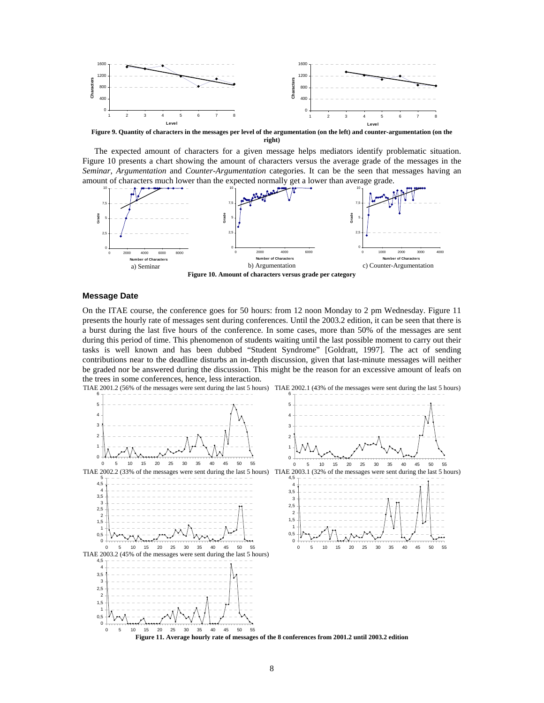

**Figure 9. Quantity of characters in the messages per level of the argumentation (on the left) and counter-argumentation (on the right)** 

The expected amount of characters for a given message helps mediators identify problematic situation. Figure 10 presents a chart showing the amount of characters versus the average grade of the messages in the *Seminar*, *Argumentation* and *Counter-Argumentation* categories. It can be the seen that messages having an amount of characters much lower than the expected normally get a lower than average grade.



#### **Message Date**

On the ITAE course, the conference goes for 50 hours: from 12 noon Monday to 2 pm Wednesday. Figure 11 presents the hourly rate of messages sent during conferences. Until the 2003.2 edition, it can be seen that there is a burst during the last five hours of the conference. In some cases, more than 50% of the messages are sent during this period of time. This phenomenon of students waiting until the last possible moment to carry out their tasks is well known and has been dubbed "Student Syndrome" [Goldratt, 1997]. The act of sending contributions near to the deadline disturbs an in-depth discussion, given that last-minute messages will neither be graded nor be answered during the discussion. This might be the reason for an excessive amount of leafs on the trees in some conferences, hence, less interaction.

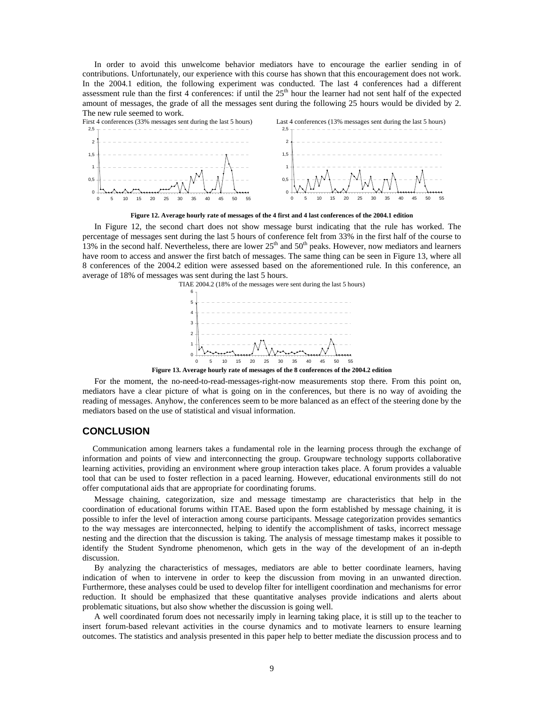In order to avoid this unwelcome behavior mediators have to encourage the earlier sending in of contributions. Unfortunately, our experience with this course has shown that this encouragement does not work. In the 2004.1 edition, the following experiment was conducted. The last 4 conferences had a different assessment rule than the first 4 conferences: if until the  $25<sup>th</sup>$  hour the learner had not sent half of the expected amount of messages, the grade of all the messages sent during the following 25 hours would be divided by 2. The new rule seemed to work.



**Figure 12. Average hourly rate of messages of the 4 first and 4 last conferences of the 2004.1 edition** 

In Figure 12, the second chart does not show message burst indicating that the rule has worked. The percentage of messages sent during the last 5 hours of conference felt from 33% in the first half of the course to 13% in the second half. Nevertheless, there are lower  $25<sup>th</sup>$  and  $50<sup>th</sup>$  peaks. However, now mediators and learners have room to access and answer the first batch of messages. The same thing can be seen in Figure 13, where all 8 conferences of the 2004.2 edition were assessed based on the aforementioned rule. In this conference, an average of 18% of messages was sent during the last 5 hours.



**Figure 13. Average hourly rate of messages of the 8 conferences of the 2004.2 edition** 

For the moment, the no-need-to-read-messages-right-now measurements stop there. From this point on, mediators have a clear picture of what is going on in the conferences, but there is no way of avoiding the reading of messages. Anyhow, the conferences seem to be more balanced as an effect of the steering done by the mediators based on the use of statistical and visual information.

### **CONCLUSION**

Communication among learners takes a fundamental role in the learning process through the exchange of information and points of view and interconnecting the group. Groupware technology supports collaborative learning activities, providing an environment where group interaction takes place. A forum provides a valuable tool that can be used to foster reflection in a paced learning. However, educational environments still do not offer computational aids that are appropriate for coordinating forums.

Message chaining, categorization, size and message timestamp are characteristics that help in the coordination of educational forums within ITAE. Based upon the form established by message chaining, it is possible to infer the level of interaction among course participants. Message categorization provides semantics to the way messages are interconnected, helping to identify the accomplishment of tasks, incorrect message nesting and the direction that the discussion is taking. The analysis of message timestamp makes it possible to identify the Student Syndrome phenomenon, which gets in the way of the development of an in-depth discussion.

By analyzing the characteristics of messages, mediators are able to better coordinate learners, having indication of when to intervene in order to keep the discussion from moving in an unwanted direction. Furthermore, these analyses could be used to develop filter for intelligent coordination and mechanisms for error reduction. It should be emphasized that these quantitative analyses provide indications and alerts about problematic situations, but also show whether the discussion is going well.

A well coordinated forum does not necessarily imply in learning taking place, it is still up to the teacher to insert forum-based relevant activities in the course dynamics and to motivate learners to ensure learning outcomes. The statistics and analysis presented in this paper help to better mediate the discussion process and to